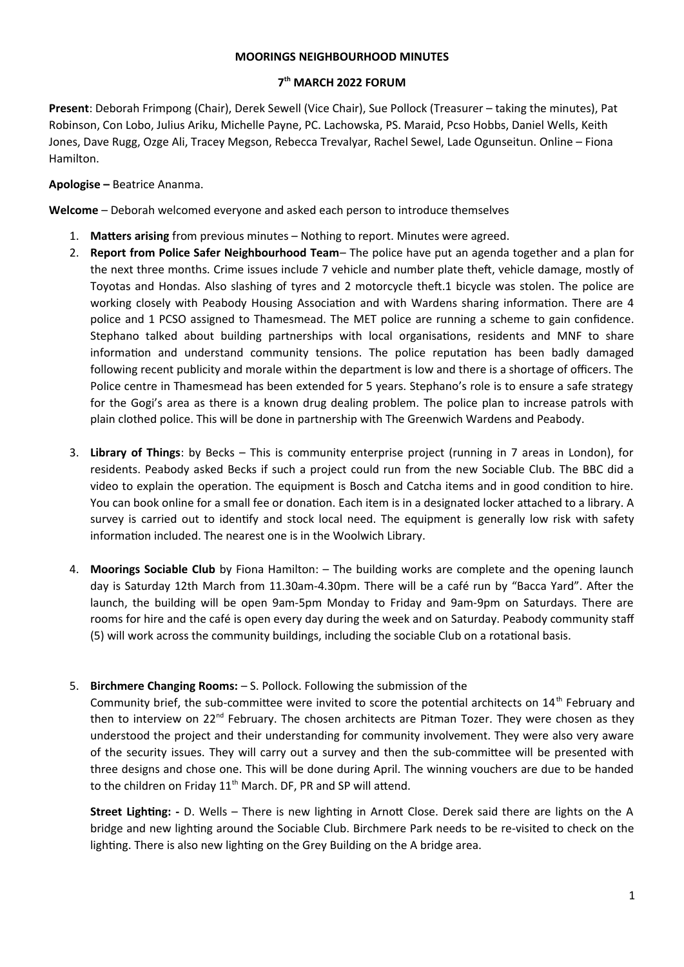#### **MOORINGS NEIGHBOURHOOD MINUTES**

# **7 th MARCH 2022 FORUM**

**Present**: Deborah Frimpong (Chair), Derek Sewell (Vice Chair), Sue Pollock (Treasurer – taking the minutes), Pat Robinson, Con Lobo, Julius Ariku, Michelle Payne, PC. Lachowska, PS. Maraid, Pcso Hobbs, Daniel Wells, Keith Jones, Dave Rugg, Ozge Ali, Tracey Megson, Rebecca Trevalyar, Rachel Sewel, Lade Ogunseitun. Online – Fiona Hamilton.

### **Apologise –** Beatrice Ananma.

**Welcome** – Deborah welcomed everyone and asked each person to introduce themselves

- 1. **Matters arising** from previous minutes Nothing to report. Minutes were agreed.
- 2. **Report from Police Safer Neighbourhood Team** The police have put an agenda together and a plan for the next three months. Crime issues include 7 vehicle and number plate theft, vehicle damage, mostly of Toyotas and Hondas. Also slashing of tyres and 2 motorcycle theft.1 bicycle was stolen. The police are working closely with Peabody Housing Association and with Wardens sharing information. There are 4 police and 1 PCSO assigned to Thamesmead. The MET police are running a scheme to gain confidence. Stephano talked about building partnerships with local organisations, residents and MNF to share information and understand community tensions. The police reputation has been badly damaged following recent publicity and morale within the department is low and there is a shortage of officers. The Police centre in Thamesmead has been extended for 5 years. Stephano's role is to ensure a safe strategy for the Gogi's area as there is a known drug dealing problem. The police plan to increase patrols with plain clothed police. This will be done in partnership with The Greenwich Wardens and Peabody.
- 3. **Library of Things**: by Becks This is community enterprise project (running in 7 areas in London), for residents. Peabody asked Becks if such a project could run from the new Sociable Club. The BBC did a video to explain the operation. The equipment is Bosch and Catcha items and in good condition to hire. You can book online for a small fee or donation. Each item is in a designated locker attached to a library. A survey is carried out to identify and stock local need. The equipment is generally low risk with safety information included. The nearest one is in the Woolwich Library.
- 4. **Moorings Sociable Club** by Fiona Hamilton: The building works are complete and the opening launch day is Saturday 12th March from 11.30am-4.30pm. There will be a café run by "Bacca Yard". After the launch, the building will be open 9am-5pm Monday to Friday and 9am-9pm on Saturdays. There are rooms for hire and the café is open every day during the week and on Saturday. Peabody community staff (5) will work across the community buildings, including the sociable Club on a rotational basis.

# 5. **Birchmere Changing Rooms:** – S. Pollock. Following the submission of the

Community brief, the sub-committee were invited to score the potential architects on 14<sup>th</sup> February and then to interview on  $22^{nd}$  February. The chosen architects are Pitman Tozer. They were chosen as they understood the project and their understanding for community involvement. They were also very aware of the security issues. They will carry out a survey and then the sub-committee will be presented with three designs and chose one. This will be done during April. The winning vouchers are due to be handed to the children on Friday 11<sup>th</sup> March. DF, PR and SP will attend.

**Street Lighting: -** D. Wells – There is new lighting in Arnott Close. Derek said there are lights on the A bridge and new lighting around the Sociable Club. Birchmere Park needs to be re-visited to check on the lighting. There is also new lighting on the Grey Building on the A bridge area.